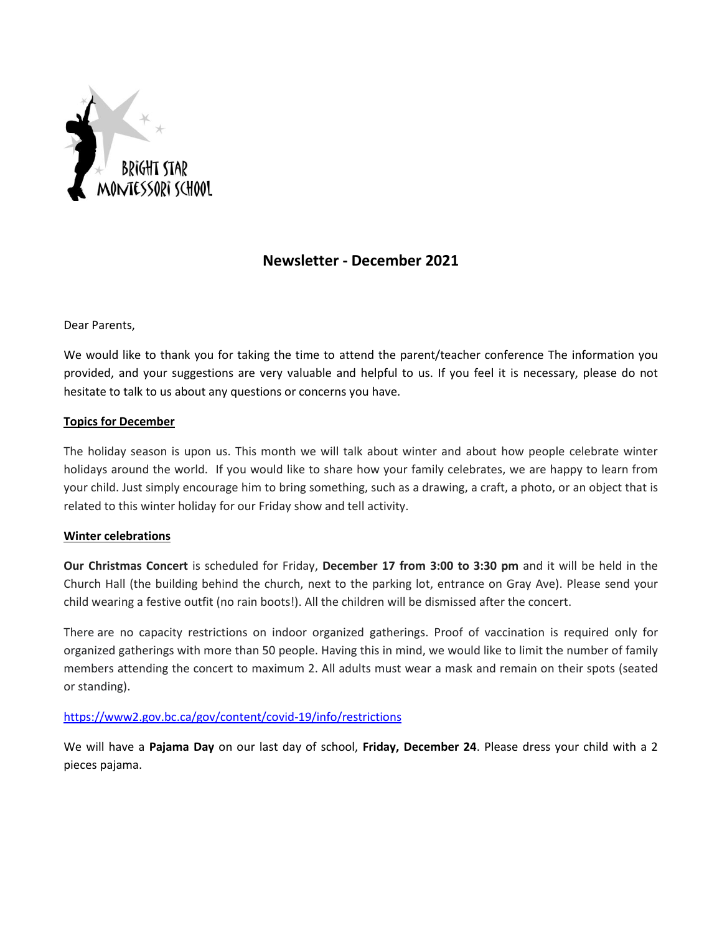

# **Newsletter - December 2021**

Dear Parents,

We would like to thank you for taking the time to attend the parent/teacher conference The information you provided, and your suggestions are very valuable and helpful to us. If you feel it is necessary, please do not hesitate to talk to us about any questions or concerns you have.

### **Topics for December**

The holiday season is upon us. This month we will talk about winter and about how people celebrate winter holidays around the world. If you would like to share how your family celebrates, we are happy to learn from your child. Just simply encourage him to bring something, such as a drawing, a craft, a photo, or an object that is related to this winter holiday for our Friday show and tell activity.

### **Winter celebrations**

**Our Christmas Concert** is scheduled for Friday, **December 17 from 3:00 to 3:30 pm** and it will be held in the Church Hall (the building behind the church, next to the parking lot, entrance on Gray Ave). Please send your child wearing a festive outfit (no rain boots!). All the children will be dismissed after the concert.

There are no capacity restrictions on indoor organized gatherings. Proof of vaccination is required only for organized gatherings with more than 50 people. Having this in mind, we would like to limit the number of family members attending the concert to maximum 2. All adults must wear a mask and remain on their spots (seated or standing).

## <https://www2.gov.bc.ca/gov/content/covid-19/info/restrictions>

We will have a **Pajama Day** on our last day of school, **Friday, December 24**. Please dress your child with a 2 pieces pajama.